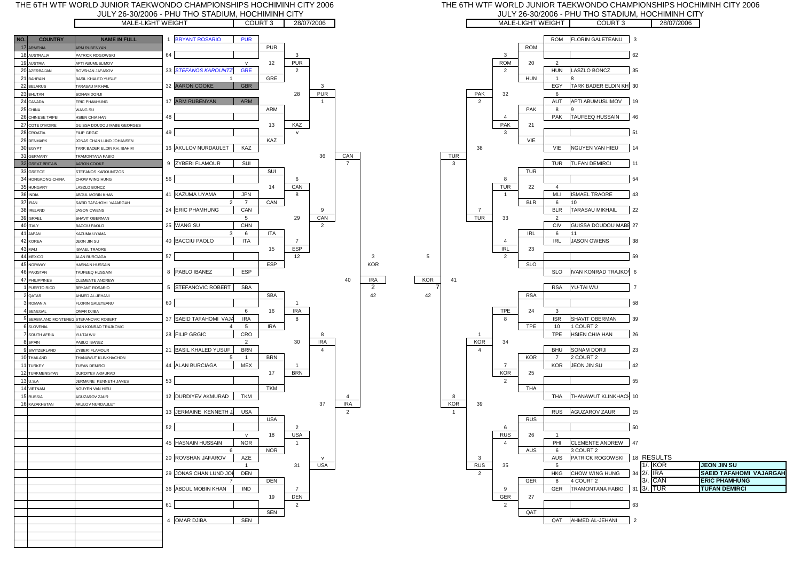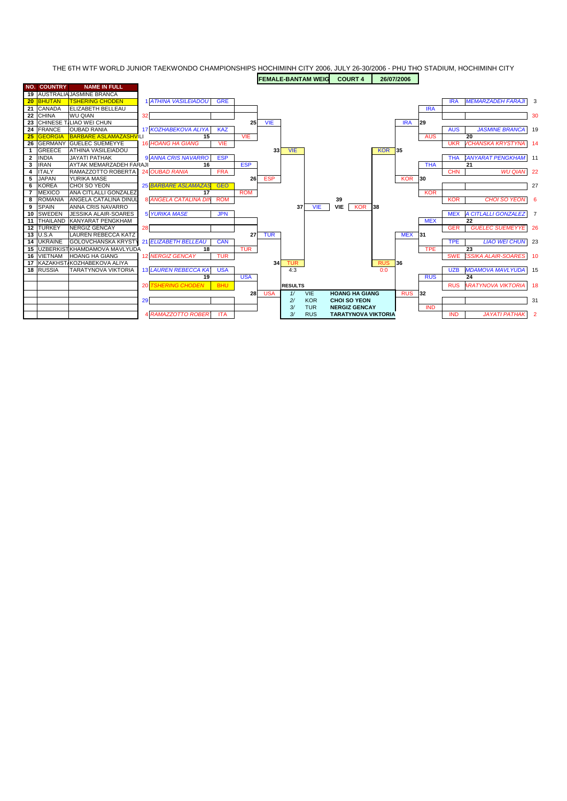THE 6TH WTF WORLD JUNIOR TAEKWONDO CHAMPIONSHIPS HOCHIMINH CITY 2006, JULY 26-30/2006 - PHU THO STADIUM, HOCHIMINH CITY **FEMALE-BANTAM WEIG COURT 4 26/07/2006** 

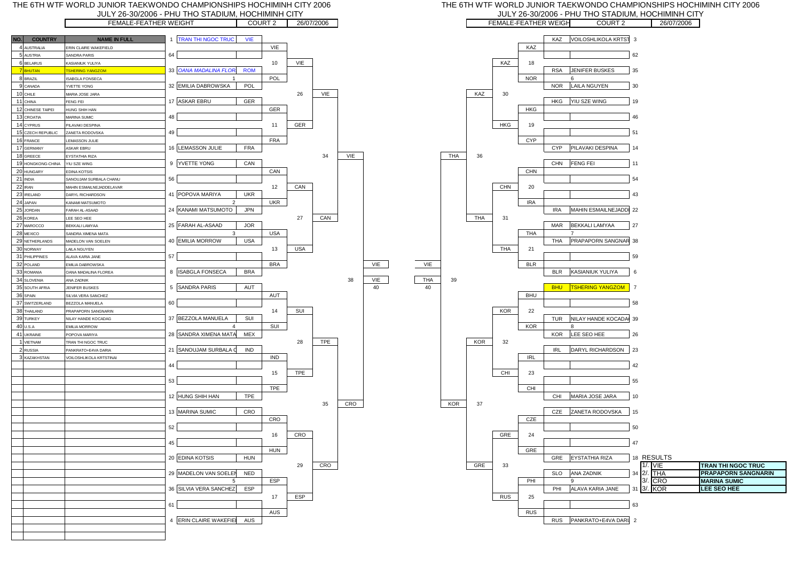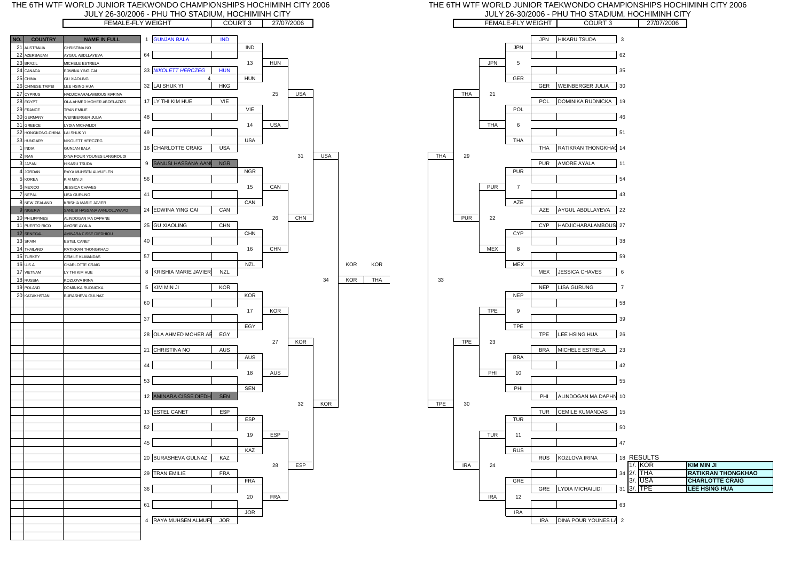



#### THE 6TH WTF WORLD JUNIOR TAEKWONDO CHAMPIONSHIPS HOCHIMINH CITY 2006 JULY 26-30/2006 - PHU THO STADIUM, HOCHIMINH CITY

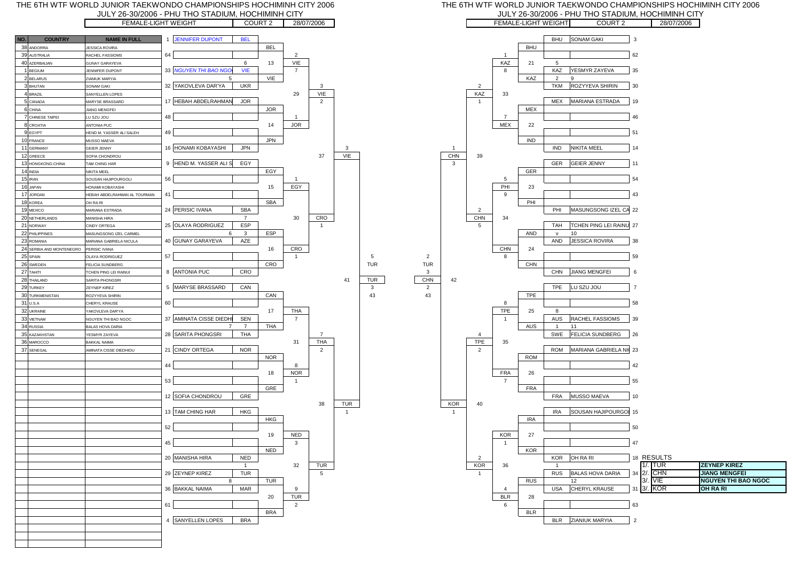

#### THE 6TH WTF WORLD JUNIOR TAEKWONDO CHAMPIONSHIPS HOCHIMINH CITY 2006 JULY 26-30/2006 - PHU THO STADIUM, HOCHIMINH CITY

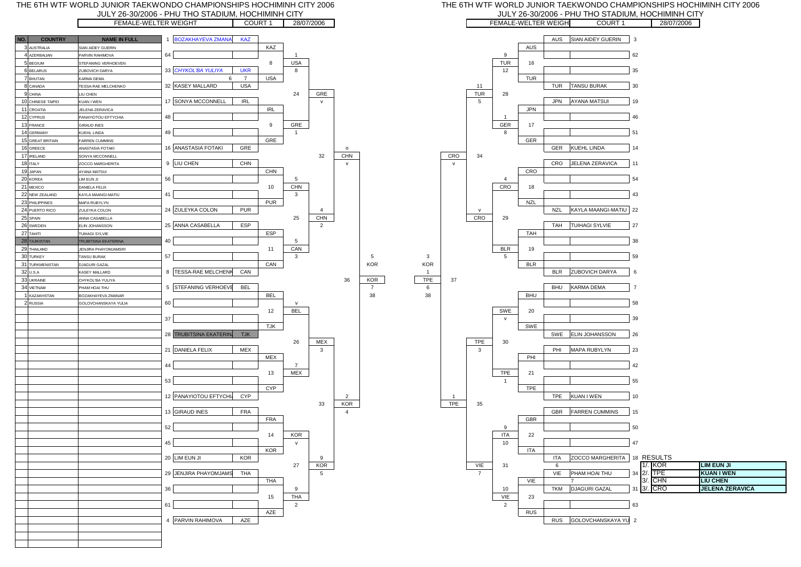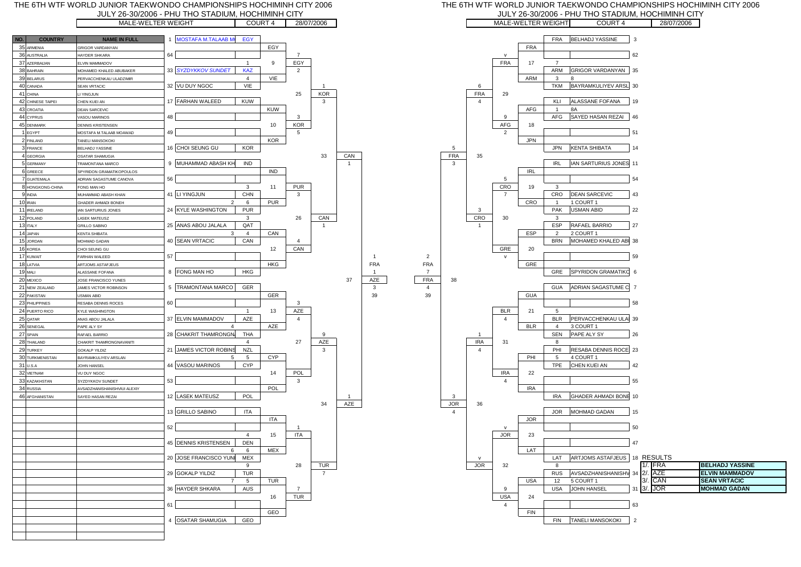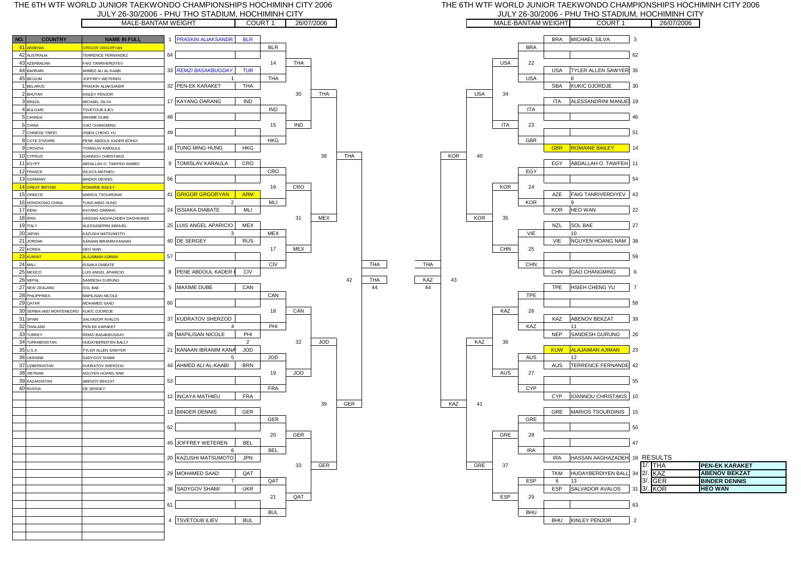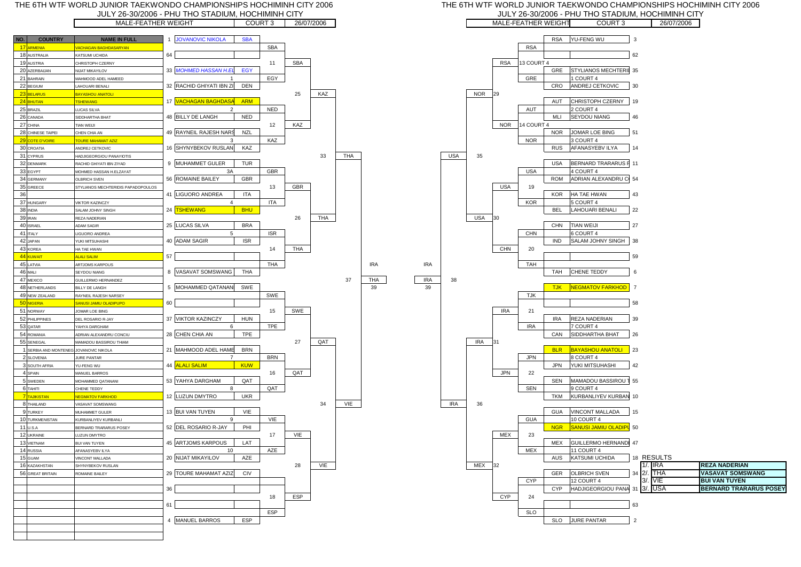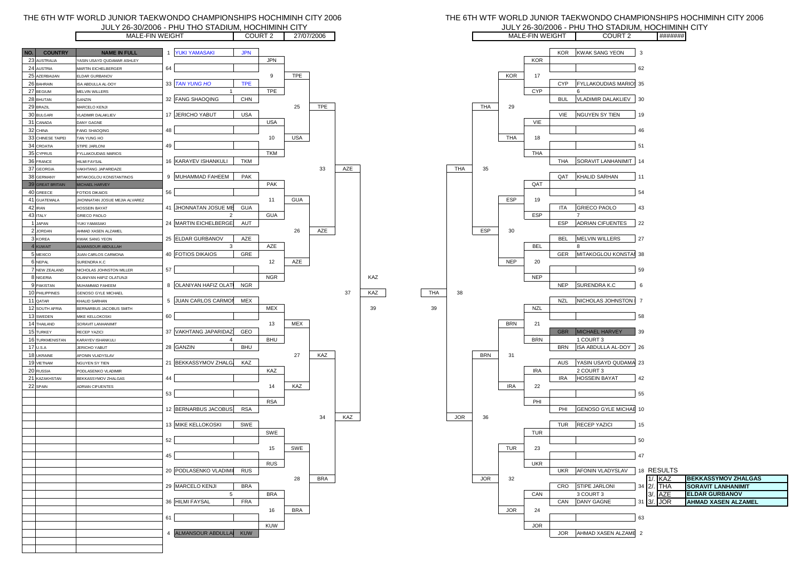